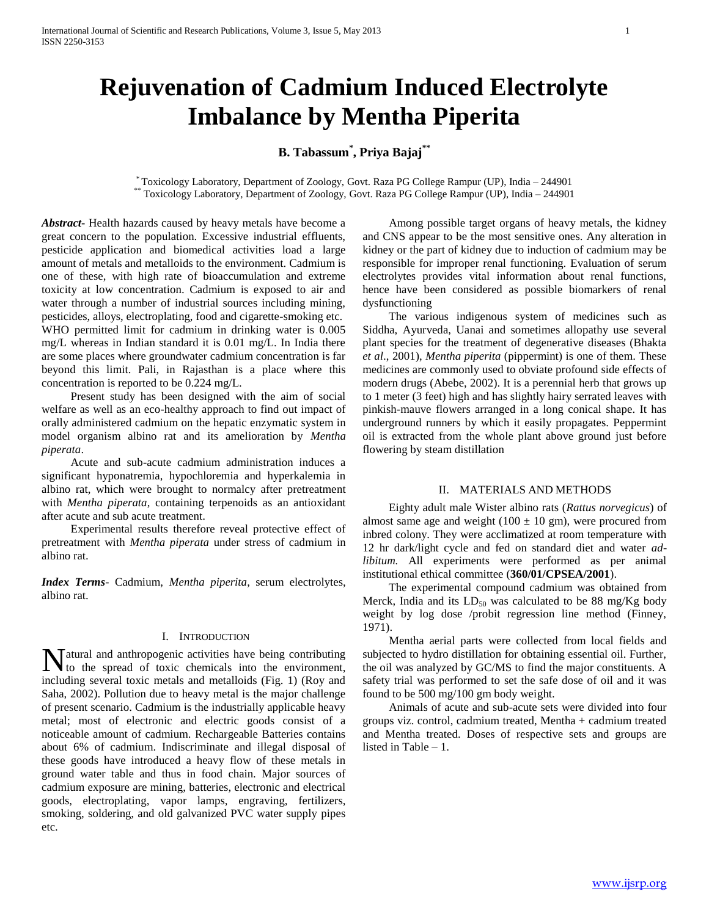# **Rejuvenation of Cadmium Induced Electrolyte Imbalance by Mentha Piperita**

## **B. Tabassum\* , Priya Bajaj\*\***

\* Toxicology Laboratory, Department of Zoology, Govt. Raza PG College Rampur (UP), India – 244901 \*\* Toxicology Laboratory, Department of Zoology, Govt. Raza PG College Rampur (UP), India – 244901

*Abstract***-** Health hazards caused by heavy metals have become a great concern to the population. Excessive industrial effluents, pesticide application and biomedical activities load a large amount of metals and metalloids to the environment. Cadmium is one of these, with high rate of bioaccumulation and extreme toxicity at low concentration. Cadmium is exposed to air and water through a number of industrial sources including mining, pesticides, alloys, electroplating, food and cigarette-smoking etc. WHO permitted limit for cadmium in drinking water is 0.005 mg/L whereas in Indian standard it is 0.01 mg/L. In India there are some places where groundwater cadmium concentration is far beyond this limit. Pali, in Rajasthan is a place where this concentration is reported to be 0.224 mg/L.

 Present study has been designed with the aim of social welfare as well as an eco-healthy approach to find out impact of orally administered cadmium on the hepatic enzymatic system in model organism albino rat and its amelioration by *Mentha piperata*.

 Acute and sub-acute cadmium administration induces a significant hyponatremia, hypochloremia and hyperkalemia in albino rat, which were brought to normalcy after pretreatment with *Mentha piperata*, containing terpenoids as an antioxidant after acute and sub acute treatment.

 Experimental results therefore reveal protective effect of pretreatment with *Mentha piperata* under stress of cadmium in albino rat.

*Index Terms*- Cadmium, *Mentha piperita*, serum electrolytes, albino rat.

### I. INTRODUCTION

Matural and anthropogenic activities have being contributing<br>to the spread of toxic chemicals into the environment, to the spread of toxic chemicals into the environment, including several toxic metals and metalloids (Fig. 1) (Roy and Saha, 2002). Pollution due to heavy metal is the major challenge of present scenario. Cadmium is the industrially applicable heavy metal; most of electronic and electric goods consist of a noticeable amount of cadmium. Rechargeable Batteries contains about 6% of cadmium. Indiscriminate and illegal disposal of these goods have introduced a heavy flow of these metals in ground water table and thus in food chain. Major sources of cadmium exposure are mining, batteries, electronic and electrical goods, electroplating, vapor lamps, engraving, fertilizers, smoking, soldering, and old galvanized PVC water supply pipes etc.

 Among possible target organs of heavy metals, the kidney and CNS appear to be the most sensitive ones. Any alteration in kidney or the part of kidney due to induction of cadmium may be responsible for improper renal functioning. Evaluation of serum electrolytes provides vital information about renal functions, hence have been considered as possible biomarkers of renal dysfunctioning

 The various indigenous system of medicines such as Siddha, Ayurveda, Uanai and sometimes allopathy use several plant species for the treatment of degenerative diseases (Bhakta *et al*., 2001), *Mentha piperita* (pippermint) is one of them. These medicines are commonly used to obviate profound side effects of modern drugs (Abebe, 2002). It is a perennial herb that grows up to 1 meter (3 feet) high and has slightly hairy serrated leaves with pinkish-mauve flowers arranged in a long conical shape. It has underground runners by which it easily propagates. Peppermint oil is extracted from the whole plant above ground just before flowering by steam distillation

#### II. MATERIALS AND METHODS

 Eighty adult male Wister albino rats (*Rattus norvegicus*) of almost same age and weight ( $100 \pm 10$  gm), were procured from inbred colony. They were acclimatized at room temperature with 12 hr dark/light cycle and fed on standard diet and water *adlibitum.* All experiments were performed as per animal institutional ethical committee (**360/01/CPSEA/2001**).

 The experimental compound cadmium was obtained from Merck, India and its  $LD_{50}$  was calculated to be 88 mg/Kg body weight by log dose /probit regression line method (Finney, 1971).

 Mentha aerial parts were collected from local fields and subjected to hydro distillation for obtaining essential oil. Further, the oil was analyzed by GC/MS to find the major constituents. A safety trial was performed to set the safe dose of oil and it was found to be 500 mg/100 gm body weight.

 Animals of acute and sub-acute sets were divided into four groups viz. control, cadmium treated, Mentha + cadmium treated and Mentha treated. Doses of respective sets and groups are listed in Table – 1.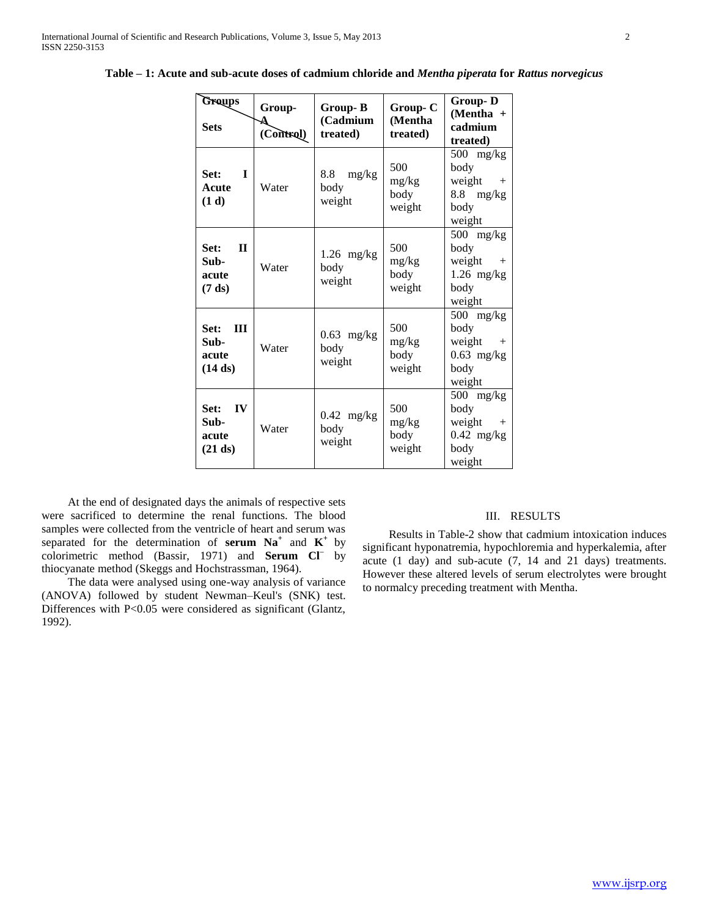| Groups<br><b>Sets</b>                              | Group-<br>(Control) | Group-B<br>(Cadmium<br>treated) | Group-C<br>(Mentha<br>treated) | <b>Group-D</b><br>$(Mentha +$<br>cadmium<br>treated)                      |
|----------------------------------------------------|---------------------|---------------------------------|--------------------------------|---------------------------------------------------------------------------|
| Set:<br>T<br>Acute<br>(1 d)                        | Water               | 8.8<br>mg/kg<br>body<br>weight  | 500<br>mg/kg<br>body<br>weight | $500$ mg/kg<br>body<br>weight<br>$^{+}$<br>8.8<br>mg/kg<br>body<br>weight |
| $\Pi$<br>Set:<br>Sub-<br>acute<br>$(7 \text{ ds})$ | Water               | $1.26$ mg/kg<br>body<br>weight  | 500<br>mg/kg<br>body<br>weight | $500$ mg/kg<br>body<br>weight<br>$+$<br>$1.26$ mg/kg<br>body<br>weight    |
| $\mathbf{H}$<br>Set:<br>Sub-<br>acute<br>(14 ds)   | Water               | $0.63$ mg/kg<br>body<br>weight  | 500<br>mg/kg<br>body<br>weight | $500$ mg/kg<br>body<br>weight<br>$+$<br>$0.63$ mg/kg<br>body<br>weight    |
| Set:<br>IV<br>Sub-<br>acute<br>(21 ds)             | Water               | $0.42$ mg/kg<br>body<br>weight  | 500<br>mg/kg<br>body<br>weight | $500$ mg/kg<br>body<br>weight<br>$+$<br>$0.42$ mg/kg<br>body<br>weight    |

**Table – 1: Acute and sub-acute doses of cadmium chloride and** *Mentha piperata* **for** *Rattus norvegicus*

 At the end of designated days the animals of respective sets were sacrificed to determine the renal functions. The blood samples were collected from the ventricle of heart and serum was separated for the determination of **serum**  $\mathbf{N} \mathbf{a}^+$  and  $\mathbf{K}^+$  by colorimetric method (Bassir, 1971) and **Serum Cl–** by thiocyanate method (Skeggs and Hochstrassman, 1964).

 The data were analysed using one-way analysis of variance (ANOVA) followed by student Newman–Keul's (SNK) test. Differences with P<0.05 were considered as significant (Glantz, 1992).

#### III. RESULTS

 Results in Table-2 show that cadmium intoxication induces significant hyponatremia, hypochloremia and hyperkalemia, after acute (1 day) and sub-acute (7, 14 and 21 days) treatments. However these altered levels of serum electrolytes were brought to normalcy preceding treatment with Mentha.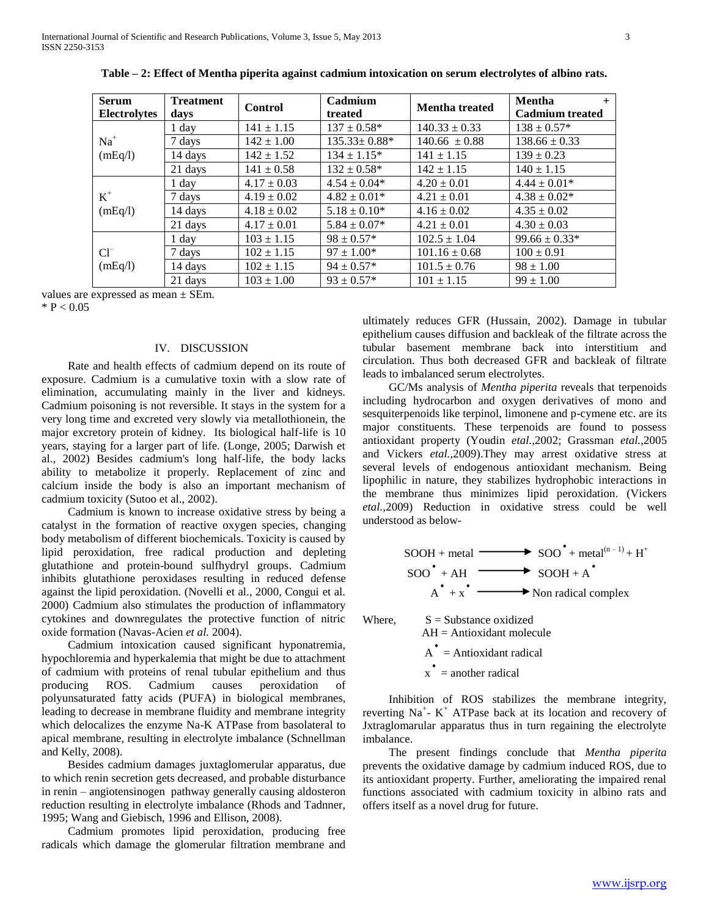| <b>Serum</b><br><b>Electrolytes</b> | <b>Treatment</b><br>days | <b>Control</b>  | Cadmium<br>treated | <b>Mentha treated</b> | Mentha<br>$+$<br><b>Cadmium</b> treated |
|-------------------------------------|--------------------------|-----------------|--------------------|-----------------------|-----------------------------------------|
| $Na+$<br>(mEq/l)                    | 1 day                    | $141 \pm 1.15$  | $137 \pm 0.58^*$   | $140.33 \pm 0.33$     | $138 \pm 0.57*$                         |
|                                     | 7 days                   | $142 \pm 1.00$  | $135.33 \pm 0.88*$ | $140.66 \pm 0.88$     | $138.66 \pm 0.33$                       |
|                                     | 14 days                  | $142 \pm 1.52$  | $134 \pm 1.15^*$   | $141 \pm 1.15$        | $139 \pm 0.23$                          |
|                                     | 21 days                  | $141 \pm 0.58$  | $132 \pm 0.58^*$   | $142 \pm 1.15$        | $140 \pm 1.15$                          |
| $K^+$<br>(mEq/l)                    | 1 day                    | $4.17 \pm 0.03$ | $4.54 \pm 0.04*$   | $4.20 \pm 0.01$       | $4.44 \pm 0.01*$                        |
|                                     | 7 days                   | $4.19 \pm 0.02$ | $4.82 \pm 0.01*$   | $4.21 \pm 0.01$       | $4.38 \pm 0.02^*$                       |
|                                     | 14 days                  | $4.18 \pm 0.02$ | $5.18 \pm 0.10^*$  | $4.16 \pm 0.02$       | $4.35 \pm 0.02$                         |
|                                     | 21 days                  | $4.17 \pm 0.01$ | $5.84 \pm 0.07*$   | $4.21 \pm 0.01$       | $4.30 \pm 0.03$                         |
| $Cl^{-}$<br>(mEq/l)                 | 1 day                    | $103 \pm 1.15$  | $98 \pm 0.57*$     | $102.5 \pm 1.04$      | $99.66 \pm 0.33*$                       |
|                                     | 7 days                   | $102 \pm 1.15$  | $97 \pm 1.00*$     | $101.16 \pm 0.68$     | $100 \pm 0.91$                          |
|                                     | 14 days                  | $102 \pm 1.15$  | $94 \pm 0.57*$     | $101.5 \pm 0.76$      | $98 \pm 1.00$                           |
|                                     | 21 days                  | $103 \pm 1.00$  | $93 \pm 0.57*$     | $101 \pm 1.15$        | $99 \pm 1.00$                           |

**Table – 2: Effect of Mentha piperita against cadmium intoxication on serum electrolytes of albino rats.**

values are expressed as mean ± SEm.

 $*$  P < 0.05

#### IV. DISCUSSION

 Rate and health effects of cadmium depend on its route of exposure. Cadmium is a cumulative toxin with a slow rate of elimination, accumulating mainly in the liver and kidneys. Cadmium poisoning is not reversible. It stays in the system for a very long time and excreted very slowly via metallothionein, the major excretory protein of kidney. Its biological half-life is 10 years, staying for a larger part of life. (Longe, 2005; Darwish et al., 2002) Besides cadmium's long half-life, the body lacks ability to metabolize it properly. Replacement of zinc and calcium inside the body is also an important mechanism of cadmium toxicity (Sutoo et al., 2002).

 Cadmium is known to increase oxidative stress by being a catalyst in the formation of reactive oxygen species, changing body metabolism of different biochemicals. Toxicity is caused by lipid peroxidation, free radical production and depleting glutathione and protein-bound sulfhydryl groups. Cadmium inhibits glutathione peroxidases resulting in reduced defense against the lipid peroxidation. (Novelli et al., 2000, Congui et al. 2000) Cadmium also stimulates the production of inflammatory cytokines and downregulates the protective function of nitric oxide formation (Navas-Acien *et al.* 2004).

 Cadmium intoxication caused significant hyponatremia, hypochloremia and hyperkalemia that might be due to attachment of cadmium with proteins of renal tubular epithelium and thus producing ROS. Cadmium causes peroxidation of polyunsaturated fatty acids (PUFA) in biological membranes, leading to decrease in membrane fluidity and membrane integrity which delocalizes the enzyme Na-K ATPase from basolateral to apical membrane, resulting in electrolyte imbalance (Schnellman and Kelly, 2008).

 Besides cadmium damages juxtaglomerular apparatus, due to which renin secretion gets decreased, and probable disturbance in renin – angiotensinogen pathway generally causing aldosteron reduction resulting in electrolyte imbalance (Rhods and Tadnner, 1995; Wang and Giebisch, 1996 and Ellison, 2008).

 Cadmium promotes lipid peroxidation, producing free radicals which damage the glomerular filtration membrane and ultimately reduces GFR (Hussain, 2002). Damage in tubular epithelium causes diffusion and backleak of the filtrate across the tubular basement membrane back into interstitium and circulation. Thus both decreased GFR and backleak of filtrate leads to imbalanced serum electrolytes.

 GC/Ms analysis of *Mentha piperita* reveals that terpenoids including hydrocarbon and oxygen derivatives of mono and sesquiterpenoids like terpinol, limonene and p-cymene etc. are its major constituents. These terpenoids are found to possess antioxidant property (Youdin *etal.,*2002; Grassman *etal.,*2005 and Vickers *etal.,*2009).They may arrest oxidative stress at several levels of endogenous antioxidant mechanism. Being lipophilic in nature, they stabilizes hydrophobic interactions in the membrane thus minimizes lipid peroxidation. (Vickers *etal.,*2009) Reduction in oxidative stress could be well understood as below-

$$
SOOH + metal \longrightarrow SOO^* + metal(n-1) + H+
$$
  

$$
SOO^* + AH \longrightarrow SOOH + A^*
$$
  

$$
A^* + x^* \longrightarrow Non radical complex
$$

Where,  $S =$  Substance oxidized

 AH = Antioxidant molecule  $A^{\bullet}$  = Antioxidant radical  $x^{\bullet}$  = another radical

 Inhibition of ROS stabilizes the membrane integrity, reverting  $Na^+$ - K<sup>+</sup> ATPase back at its location and recovery of Jxtraglomarular apparatus thus in turn regaining the electrolyte imbalance.

 The present findings conclude that *Mentha piperita* prevents the oxidative damage by cadmium induced ROS, due to its antioxidant property. Further, ameliorating the impaired renal functions associated with cadmium toxicity in albino rats and offers itself as a novel drug for future.